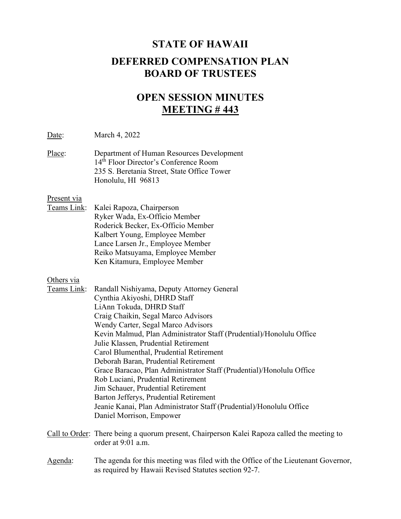# STATE OF HAWAII DEFERRED COMPENSATION PLAN BOARD OF TRUSTEES

## OPEN SESSION MINUTES MEETING # 443

Date: March 4, 2022

Place: Department of Human Resources Development 14<sup>th</sup> Floor Director's Conference Room 235 S. Beretania Street, State Office Tower Honolulu, HI 96813

#### Present via

Teams Link: Kalei Rapoza, Chairperson Ryker Wada, Ex-Officio Member Roderick Becker, Ex-Officio Member Kalbert Young, Employee Member Lance Larsen Jr., Employee Member Reiko Matsuyama, Employee Member Ken Kitamura, Employee Member

#### Others via

| Teams Link: | Randall Nishiyama, Deputy Attorney General                           |
|-------------|----------------------------------------------------------------------|
|             | Cynthia Akiyoshi, DHRD Staff                                         |
|             | LiAnn Tokuda, DHRD Staff                                             |
|             | Craig Chaikin, Segal Marco Advisors                                  |
|             | Wendy Carter, Segal Marco Advisors                                   |
|             | Kevin Malmud, Plan Administrator Staff (Prudential)/Honolulu Office  |
|             | Julie Klassen, Prudential Retirement                                 |
|             | Carol Blumenthal, Prudential Retirement                              |
|             | Deborah Baran, Prudential Retirement                                 |
|             | Grace Baracao, Plan Administrator Staff (Prudential)/Honolulu Office |
|             | Rob Luciani, Prudential Retirement                                   |
|             | Jim Schauer, Prudential Retirement                                   |
|             | Barton Jefferys, Prudential Retirement                               |
|             | Jeanie Kanai, Plan Administrator Staff (Prudential)/Honolulu Office  |
|             | Daniel Morrison, Empower                                             |
|             |                                                                      |

- Call to Order: There being a quorum present, Chairperson Kalei Rapoza called the meeting to order at 9:01 a.m.
- Agenda: The agenda for this meeting was filed with the Office of the Lieutenant Governor, as required by Hawaii Revised Statutes section 92-7.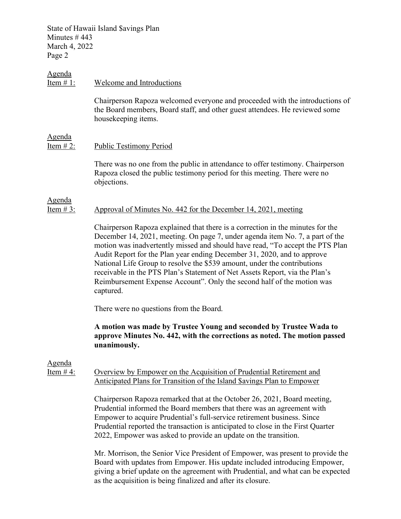#### Agenda

#### Item # 1: Welcome and Introductions

Chairperson Rapoza welcomed everyone and proceeded with the introductions of the Board members, Board staff, and other guest attendees. He reviewed some housekeeping items.

#### Agenda

Agenda

Item # 2: Public Testimony Period

There was no one from the public in attendance to offer testimony. Chairperson Rapoza closed the public testimony period for this meeting. There were no objections.

## Item # 3: Approval of Minutes No. 442 for the December 14, 2021, meeting

Chairperson Rapoza explained that there is a correction in the minutes for the December 14, 2021, meeting. On page 7, under agenda item No. 7, a part of the motion was inadvertently missed and should have read, "To accept the PTS Plan Audit Report for the Plan year ending December 31, 2020, and to approve National Life Group to resolve the \$539 amount, under the contributions receivable in the PTS Plan's Statement of Net Assets Report, via the Plan's Reimbursement Expense Account". Only the second half of the motion was captured.

There were no questions from the Board.

## A motion was made by Trustee Young and seconded by Trustee Wada to approve Minutes No. 442, with the corrections as noted. The motion passed unanimously.

## Agenda

Item # 4: Overview by Empower on the Acquisition of Prudential Retirement and Anticipated Plans for Transition of the Island \$avings Plan to Empower

> Chairperson Rapoza remarked that at the October 26, 2021, Board meeting, Prudential informed the Board members that there was an agreement with Empower to acquire Prudential's full-service retirement business. Since Prudential reported the transaction is anticipated to close in the First Quarter 2022, Empower was asked to provide an update on the transition.

Mr. Morrison, the Senior Vice President of Empower, was present to provide the Board with updates from Empower. His update included introducing Empower, giving a brief update on the agreement with Prudential, and what can be expected as the acquisition is being finalized and after its closure.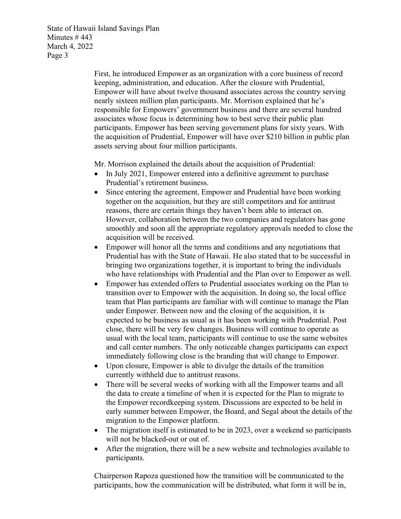> First, he introduced Empower as an organization with a core business of record keeping, administration, and education. After the closure with Prudential, Empower will have about twelve thousand associates across the country serving nearly sixteen million plan participants. Mr. Morrison explained that he's responsible for Empowers' government business and there are several hundred associates whose focus is determining how to best serve their public plan participants. Empower has been serving government plans for sixty years. With the acquisition of Prudential, Empower will have over \$210 billion in public plan assets serving about four million participants.

Mr. Morrison explained the details about the acquisition of Prudential:

- In July 2021, Empower entered into a definitive agreement to purchase Prudential's retirement business.
- Since entering the agreement, Empower and Prudential have been working together on the acquisition, but they are still competitors and for antitrust reasons, there are certain things they haven't been able to interact on. However, collaboration between the two companies and regulators has gone smoothly and soon all the appropriate regulatory approvals needed to close the acquisition will be received.
- Empower will honor all the terms and conditions and any negotiations that Prudential has with the State of Hawaii. He also stated that to be successful in bringing two organizations together, it is important to bring the individuals who have relationships with Prudential and the Plan over to Empower as well.
- Empower has extended offers to Prudential associates working on the Plan to transition over to Empower with the acquisition. In doing so, the local office team that Plan participants are familiar with will continue to manage the Plan under Empower. Between now and the closing of the acquisition, it is expected to be business as usual as it has been working with Prudential. Post close, there will be very few changes. Business will continue to operate as usual with the local team, participants will continue to use the same websites and call center numbers. The only noticeable changes participants can expect immediately following close is the branding that will change to Empower.
- Upon closure, Empower is able to divulge the details of the transition currently withheld due to antitrust reasons.
- There will be several weeks of working with all the Empower teams and all the data to create a timeline of when it is expected for the Plan to migrate to the Empower recordkeeping system. Discussions are expected to be held in early summer between Empower, the Board, and Segal about the details of the migration to the Empower platform.
- The migration itself is estimated to be in 2023, over a weekend so participants will not be blacked-out or out of.
- After the migration, there will be a new website and technologies available to participants.

Chairperson Rapoza questioned how the transition will be communicated to the participants, how the communication will be distributed, what form it will be in,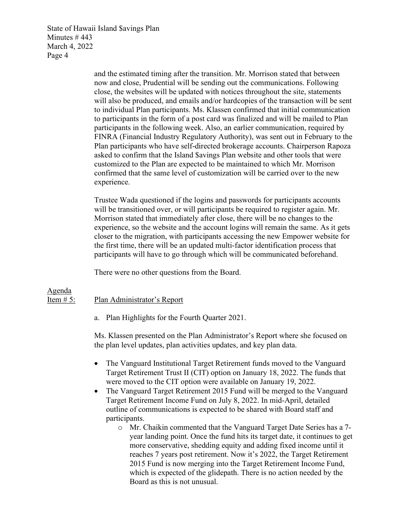> and the estimated timing after the transition. Mr. Morrison stated that between now and close, Prudential will be sending out the communications. Following close, the websites will be updated with notices throughout the site, statements will also be produced, and emails and/or hardcopies of the transaction will be sent to individual Plan participants. Ms. Klassen confirmed that initial communication to participants in the form of a post card was finalized and will be mailed to Plan participants in the following week. Also, an earlier communication, required by FINRA (Financial Industry Regulatory Authority), was sent out in February to the Plan participants who have self-directed brokerage accounts. Chairperson Rapoza asked to confirm that the Island \$avings Plan website and other tools that were customized to the Plan are expected to be maintained to which Mr. Morrison confirmed that the same level of customization will be carried over to the new experience.

> Trustee Wada questioned if the logins and passwords for participants accounts will be transitioned over, or will participants be required to register again. Mr. Morrison stated that immediately after close, there will be no changes to the experience, so the website and the account logins will remain the same. As it gets closer to the migration, with participants accessing the new Empower website for the first time, there will be an updated multi-factor identification process that participants will have to go through which will be communicated beforehand.

There were no other questions from the Board.

#### Agenda Item # 5: Plan Administrator's Report

a. Plan Highlights for the Fourth Quarter 2021.

Ms. Klassen presented on the Plan Administrator's Report where she focused on the plan level updates, plan activities updates, and key plan data.

- The Vanguard Institutional Target Retirement funds moved to the Vanguard Target Retirement Trust II (CIT) option on January 18, 2022. The funds that were moved to the CIT option were available on January 19, 2022.
- The Vanguard Target Retirement 2015 Fund will be merged to the Vanguard Target Retirement Income Fund on July 8, 2022. In mid-April, detailed outline of communications is expected to be shared with Board staff and participants.
	- o Mr. Chaikin commented that the Vanguard Target Date Series has a 7 year landing point. Once the fund hits its target date, it continues to get more conservative, shedding equity and adding fixed income until it reaches 7 years post retirement. Now it's 2022, the Target Retirement 2015 Fund is now merging into the Target Retirement Income Fund, which is expected of the glidepath. There is no action needed by the Board as this is not unusual.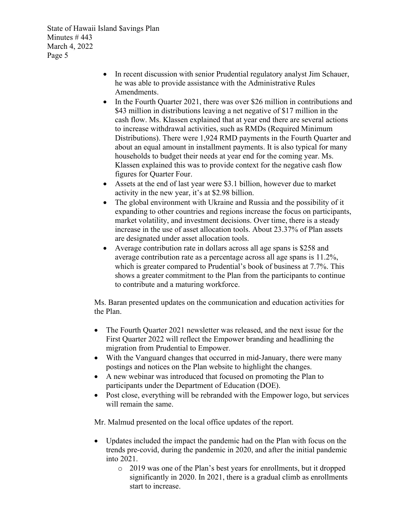- In recent discussion with senior Prudential regulatory analyst Jim Schauer, he was able to provide assistance with the Administrative Rules Amendments.
- In the Fourth Quarter 2021, there was over \$26 million in contributions and \$43 million in distributions leaving a net negative of \$17 million in the cash flow. Ms. Klassen explained that at year end there are several actions to increase withdrawal activities, such as RMDs (Required Minimum Distributions). There were 1,924 RMD payments in the Fourth Quarter and about an equal amount in installment payments. It is also typical for many households to budget their needs at year end for the coming year. Ms. Klassen explained this was to provide context for the negative cash flow figures for Quarter Four.
- Assets at the end of last year were \$3.1 billion, however due to market activity in the new year, it's at \$2.98 billion.
- The global environment with Ukraine and Russia and the possibility of it expanding to other countries and regions increase the focus on participants, market volatility, and investment decisions. Over time, there is a steady increase in the use of asset allocation tools. About 23.37% of Plan assets are designated under asset allocation tools.
- Average contribution rate in dollars across all age spans is \$258 and average contribution rate as a percentage across all age spans is 11.2%, which is greater compared to Prudential's book of business at 7.7%. This shows a greater commitment to the Plan from the participants to continue to contribute and a maturing workforce.

Ms. Baran presented updates on the communication and education activities for the Plan.

- The Fourth Quarter 2021 newsletter was released, and the next issue for the First Quarter 2022 will reflect the Empower branding and headlining the migration from Prudential to Empower.
- With the Vanguard changes that occurred in mid-January, there were many postings and notices on the Plan website to highlight the changes.
- A new webinar was introduced that focused on promoting the Plan to participants under the Department of Education (DOE).
- Post close, everything will be rebranded with the Empower logo, but services will remain the same.

Mr. Malmud presented on the local office updates of the report.

- Updates included the impact the pandemic had on the Plan with focus on the trends pre-covid, during the pandemic in 2020, and after the initial pandemic into 2021.
	- o 2019 was one of the Plan's best years for enrollments, but it dropped significantly in 2020. In 2021, there is a gradual climb as enrollments start to increase.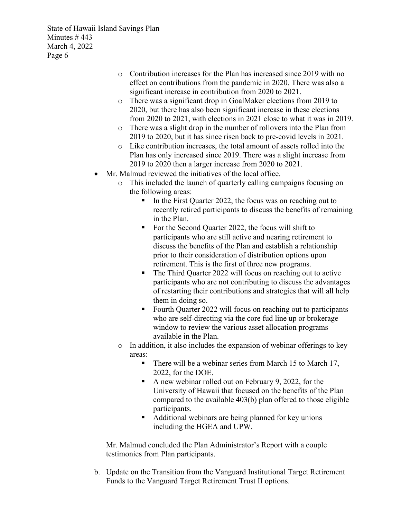- o Contribution increases for the Plan has increased since 2019 with no effect on contributions from the pandemic in 2020. There was also a significant increase in contribution from 2020 to 2021.
- o There was a significant drop in GoalMaker elections from 2019 to 2020, but there has also been significant increase in these elections from 2020 to 2021, with elections in 2021 close to what it was in 2019.
- o There was a slight drop in the number of rollovers into the Plan from 2019 to 2020, but it has since risen back to pre-covid levels in 2021.
- o Like contribution increases, the total amount of assets rolled into the Plan has only increased since 2019. There was a slight increase from 2019 to 2020 then a larger increase from 2020 to 2021.
- Mr. Malmud reviewed the initiatives of the local office.
	- o This included the launch of quarterly calling campaigns focusing on the following areas:
		- In the First Quarter 2022, the focus was on reaching out to recently retired participants to discuss the benefits of remaining in the Plan.
		- For the Second Quarter 2022, the focus will shift to participants who are still active and nearing retirement to discuss the benefits of the Plan and establish a relationship prior to their consideration of distribution options upon retirement. This is the first of three new programs.
		- The Third Quarter 2022 will focus on reaching out to active participants who are not contributing to discuss the advantages of restarting their contributions and strategies that will all help them in doing so.
		- Fourth Quarter 2022 will focus on reaching out to participants who are self-directing via the core fud line up or brokerage window to review the various asset allocation programs available in the Plan.
	- o In addition, it also includes the expansion of webinar offerings to key areas:
		- There will be a webinar series from March 15 to March 17, 2022, for the DOE.
		- A new webinar rolled out on February 9, 2022, for the University of Hawaii that focused on the benefits of the Plan compared to the available 403(b) plan offered to those eligible participants.
		- Additional webinars are being planned for key unions including the HGEA and UPW.

Mr. Malmud concluded the Plan Administrator's Report with a couple testimonies from Plan participants.

b. Update on the Transition from the Vanguard Institutional Target Retirement Funds to the Vanguard Target Retirement Trust II options.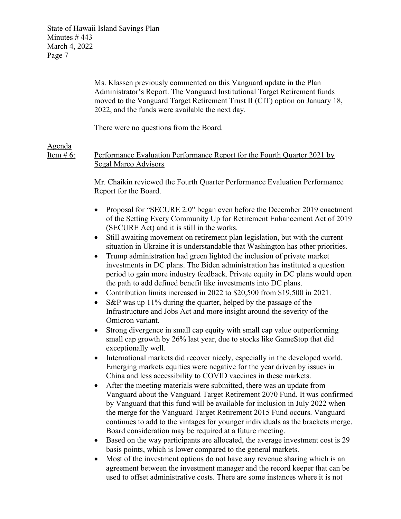Ms. Klassen previously commented on this Vanguard update in the Plan Administrator's Report. The Vanguard Institutional Target Retirement funds moved to the Vanguard Target Retirement Trust II (CIT) option on January 18, 2022, and the funds were available the next day.

There were no questions from the Board.

## Agenda

Item # 6: Performance Evaluation Performance Report for the Fourth Quarter 2021 by Segal Marco Advisors

> Mr. Chaikin reviewed the Fourth Quarter Performance Evaluation Performance Report for the Board.

- Proposal for "SECURE 2.0" began even before the December 2019 enactment of the Setting Every Community Up for Retirement Enhancement Act of 2019 (SECURE Act) and it is still in the works.
- Still awaiting movement on retirement plan legislation, but with the current situation in Ukraine it is understandable that Washington has other priorities.
- Trump administration had green lighted the inclusion of private market investments in DC plans. The Biden administration has instituted a question period to gain more industry feedback. Private equity in DC plans would open the path to add defined benefit like investments into DC plans.
- Contribution limits increased in 2022 to \$20,500 from \$19,500 in 2021.
- S&P was up 11% during the quarter, helped by the passage of the Infrastructure and Jobs Act and more insight around the severity of the Omicron variant.
- Strong divergence in small cap equity with small cap value outperforming small cap growth by 26% last year, due to stocks like GameStop that did exceptionally well.
- International markets did recover nicely, especially in the developed world. Emerging markets equities were negative for the year driven by issues in China and less accessibility to COVID vaccines in these markets.
- After the meeting materials were submitted, there was an update from Vanguard about the Vanguard Target Retirement 2070 Fund. It was confirmed by Vanguard that this fund will be available for inclusion in July 2022 when the merge for the Vanguard Target Retirement 2015 Fund occurs. Vanguard continues to add to the vintages for younger individuals as the brackets merge. Board consideration may be required at a future meeting.
- Based on the way participants are allocated, the average investment cost is 29 basis points, which is lower compared to the general markets.
- Most of the investment options do not have any revenue sharing which is an agreement between the investment manager and the record keeper that can be used to offset administrative costs. There are some instances where it is not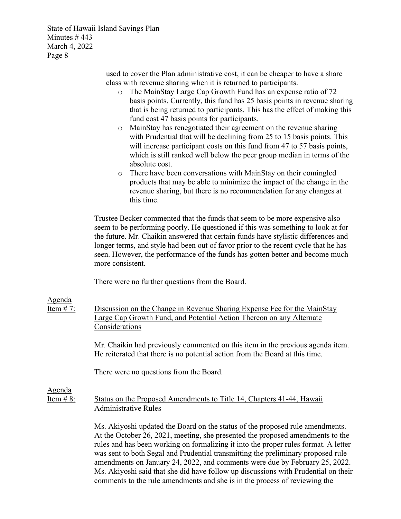> used to cover the Plan administrative cost, it can be cheaper to have a share class with revenue sharing when it is returned to participants.

- o The MainStay Large Cap Growth Fund has an expense ratio of 72 basis points. Currently, this fund has 25 basis points in revenue sharing that is being returned to participants. This has the effect of making this fund cost 47 basis points for participants.
- o MainStay has renegotiated their agreement on the revenue sharing with Prudential that will be declining from 25 to 15 basis points. This will increase participant costs on this fund from 47 to 57 basis points, which is still ranked well below the peer group median in terms of the absolute cost.
- o There have been conversations with MainStay on their comingled products that may be able to minimize the impact of the change in the revenue sharing, but there is no recommendation for any changes at this time.

Trustee Becker commented that the funds that seem to be more expensive also seem to be performing poorly. He questioned if this was something to look at for the future. Mr. Chaikin answered that certain funds have stylistic differences and longer terms, and style had been out of favor prior to the recent cycle that he has seen. However, the performance of the funds has gotten better and become much more consistent.

There were no further questions from the Board.

#### Agenda

Item # 7: Discussion on the Change in Revenue Sharing Expense Fee for the MainStay Large Cap Growth Fund, and Potential Action Thereon on any Alternate **Considerations** 

> Mr. Chaikin had previously commented on this item in the previous agenda item. He reiterated that there is no potential action from the Board at this time.

There were no questions from the Board.

Agenda

## Item # 8: Status on the Proposed Amendments to Title 14, Chapters 41-44, Hawaii Administrative Rules

Ms. Akiyoshi updated the Board on the status of the proposed rule amendments. At the October 26, 2021, meeting, she presented the proposed amendments to the rules and has been working on formalizing it into the proper rules format. A letter was sent to both Segal and Prudential transmitting the preliminary proposed rule amendments on January 24, 2022, and comments were due by February 25, 2022. Ms. Akiyoshi said that she did have follow up discussions with Prudential on their comments to the rule amendments and she is in the process of reviewing the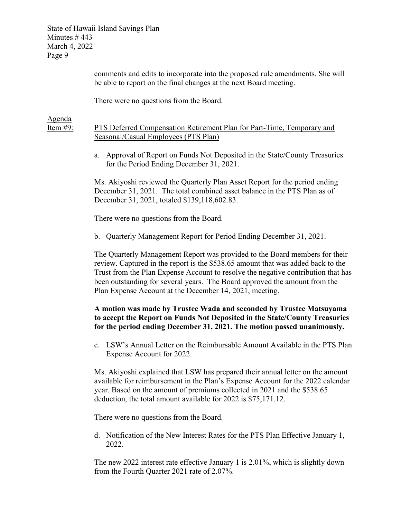> comments and edits to incorporate into the proposed rule amendments. She will be able to report on the final changes at the next Board meeting.

There were no questions from the Board.

Agenda

Item #9: PTS Deferred Compensation Retirement Plan for Part-Time, Temporary and Seasonal/Casual Employees (PTS Plan)

> a. Approval of Report on Funds Not Deposited in the State/County Treasuries for the Period Ending December 31, 2021.

Ms. Akiyoshi reviewed the Quarterly Plan Asset Report for the period ending December 31, 2021. The total combined asset balance in the PTS Plan as of December 31, 2021, totaled \$139,118,602.83.

There were no questions from the Board.

b. Quarterly Management Report for Period Ending December 31, 2021.

The Quarterly Management Report was provided to the Board members for their review. Captured in the report is the \$538.65 amount that was added back to the Trust from the Plan Expense Account to resolve the negative contribution that has been outstanding for several years. The Board approved the amount from the Plan Expense Account at the December 14, 2021, meeting.

## A motion was made by Trustee Wada and seconded by Trustee Matsuyama to accept the Report on Funds Not Deposited in the State/County Treasuries for the period ending December 31, 2021. The motion passed unanimously.

c. LSW's Annual Letter on the Reimbursable Amount Available in the PTS Plan Expense Account for 2022.

Ms. Akiyoshi explained that LSW has prepared their annual letter on the amount available for reimbursement in the Plan's Expense Account for the 2022 calendar year. Based on the amount of premiums collected in 2021 and the \$538.65 deduction, the total amount available for 2022 is \$75,171.12.

There were no questions from the Board.

d. Notification of the New Interest Rates for the PTS Plan Effective January 1, 2022.

The new 2022 interest rate effective January 1 is 2.01%, which is slightly down from the Fourth Quarter 2021 rate of 2.07%.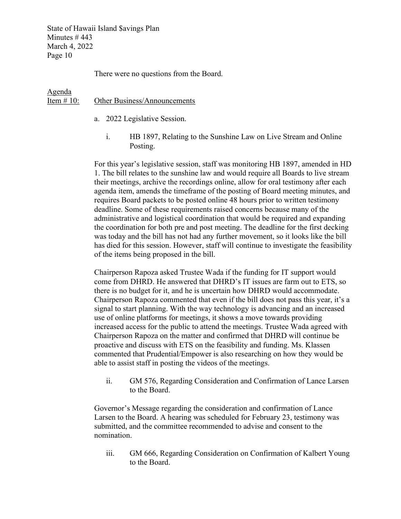There were no questions from the Board.

#### Agenda Item # 10: Other Business/Announcements

- a. 2022 Legislative Session.
	- i. HB 1897, Relating to the Sunshine Law on Live Stream and Online Posting.

For this year's legislative session, staff was monitoring HB 1897, amended in HD 1. The bill relates to the sunshine law and would require all Boards to live stream their meetings, archive the recordings online, allow for oral testimony after each agenda item, amends the timeframe of the posting of Board meeting minutes, and requires Board packets to be posted online 48 hours prior to written testimony deadline. Some of these requirements raised concerns because many of the administrative and logistical coordination that would be required and expanding the coordination for both pre and post meeting. The deadline for the first decking was today and the bill has not had any further movement, so it looks like the bill has died for this session. However, staff will continue to investigate the feasibility of the items being proposed in the bill.

Chairperson Rapoza asked Trustee Wada if the funding for IT support would come from DHRD. He answered that DHRD's IT issues are farm out to ETS, so there is no budget for it, and he is uncertain how DHRD would accommodate. Chairperson Rapoza commented that even if the bill does not pass this year, it's a signal to start planning. With the way technology is advancing and an increased use of online platforms for meetings, it shows a move towards providing increased access for the public to attend the meetings. Trustee Wada agreed with Chairperson Rapoza on the matter and confirmed that DHRD will continue be proactive and discuss with ETS on the feasibility and funding. Ms. Klassen commented that Prudential/Empower is also researching on how they would be able to assist staff in posting the videos of the meetings.

ii. GM 576, Regarding Consideration and Confirmation of Lance Larsen to the Board.

Governor's Message regarding the consideration and confirmation of Lance Larsen to the Board. A hearing was scheduled for February 23, testimony was submitted, and the committee recommended to advise and consent to the nomination.

iii. GM 666, Regarding Consideration on Confirmation of Kalbert Young to the Board.